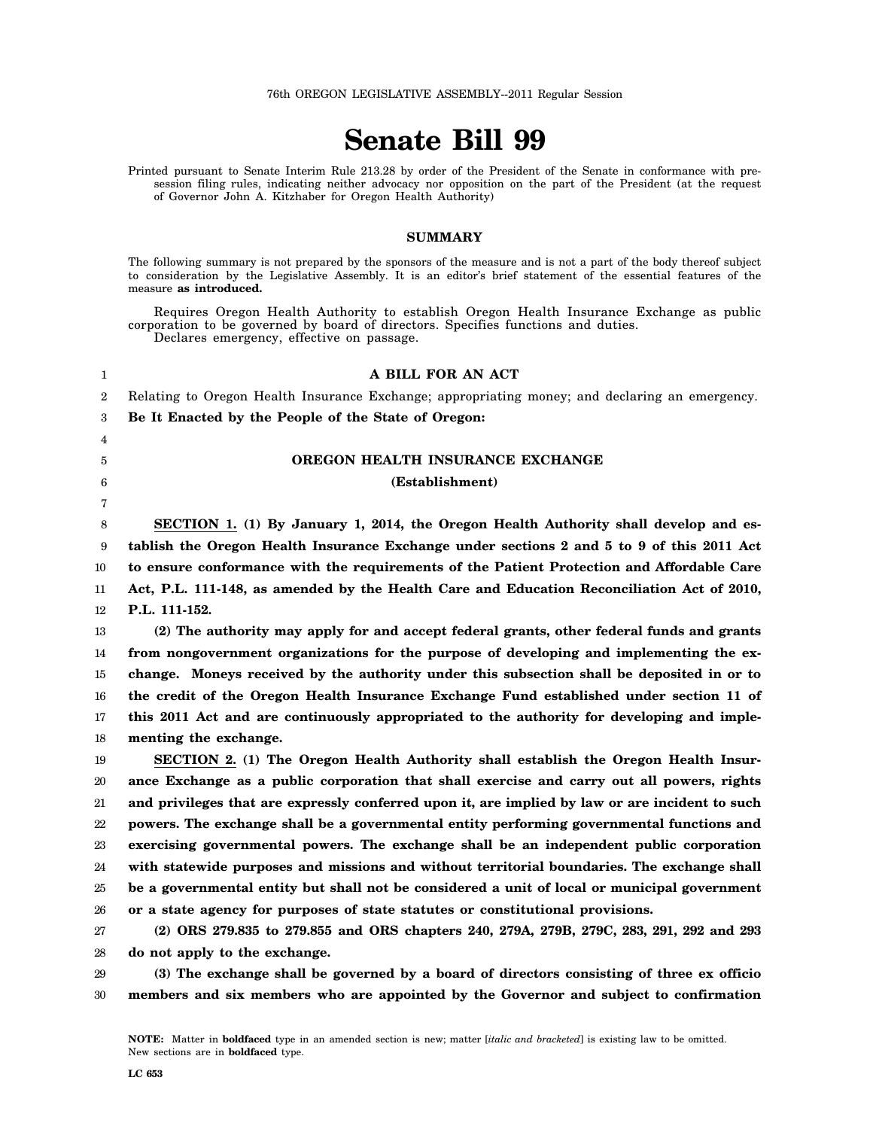76th OREGON LEGISLATIVE ASSEMBLY--2011 Regular Session

# **Senate Bill 99**

Printed pursuant to Senate Interim Rule 213.28 by order of the President of the Senate in conformance with presession filing rules, indicating neither advocacy nor opposition on the part of the President (at the request of Governor John A. Kitzhaber for Oregon Health Authority)

#### **SUMMARY**

The following summary is not prepared by the sponsors of the measure and is not a part of the body thereof subject to consideration by the Legislative Assembly. It is an editor's brief statement of the essential features of the measure **as introduced.**

Requires Oregon Health Authority to establish Oregon Health Insurance Exchange as public corporation to be governed by board of directors. Specifies functions and duties. Declares emergency, effective on passage.

| 1  | A BILL FOR AN ACT                                                                               |
|----|-------------------------------------------------------------------------------------------------|
| 2  | Relating to Oregon Health Insurance Exchange; appropriating money; and declaring an emergency.  |
| 3  | Be It Enacted by the People of the State of Oregon:                                             |
| 4  |                                                                                                 |
| 5  | OREGON HEALTH INSURANCE EXCHANGE                                                                |
| 6  | (Establishment)                                                                                 |
| 7  |                                                                                                 |
| 8  | SECTION 1. (1) By January 1, 2014, the Oregon Health Authority shall develop and es-            |
| 9  | tablish the Oregon Health Insurance Exchange under sections 2 and 5 to 9 of this 2011 Act       |
| 10 | to ensure conformance with the requirements of the Patient Protection and Affordable Care       |
| 11 | Act, P.L. 111-148, as amended by the Health Care and Education Reconciliation Act of 2010,      |
| 12 | P.L. 111-152.                                                                                   |
| 13 | (2) The authority may apply for and accept federal grants, other federal funds and grants       |
| 14 | from nongovernment organizations for the purpose of developing and implementing the ex-         |
| 15 | change. Moneys received by the authority under this subsection shall be deposited in or to      |
| 16 | the credit of the Oregon Health Insurance Exchange Fund established under section 11 of         |
| 17 | this 2011 Act and are continuously appropriated to the authority for developing and imple-      |
| 18 | menting the exchange.                                                                           |
| 19 | SECTION 2. (1) The Oregon Health Authority shall establish the Oregon Health Insur-             |
| 20 | ance Exchange as a public corporation that shall exercise and carry out all powers, rights      |
| 21 | and privileges that are expressly conferred upon it, are implied by law or are incident to such |
| 22 | powers. The exchange shall be a governmental entity performing governmental functions and       |
| 23 | exercising governmental powers. The exchange shall be an independent public corporation         |
| 24 | with statewide purposes and missions and without territorial boundaries. The exchange shall     |
| 25 | be a governmental entity but shall not be considered a unit of local or municipal government    |
| 26 | or a state agency for purposes of state statutes or constitutional provisions.                  |
| 27 | (2) ORS 279.835 to 279.855 and ORS chapters 240, 279A, 279B, 279C, 283, 291, 292 and 293        |
| 28 | do not apply to the exchange.                                                                   |
| 29 | (3) The exchange shall be governed by a board of directors consisting of three ex officio       |
| 30 | members and six members who are appointed by the Governor and subject to confirmation           |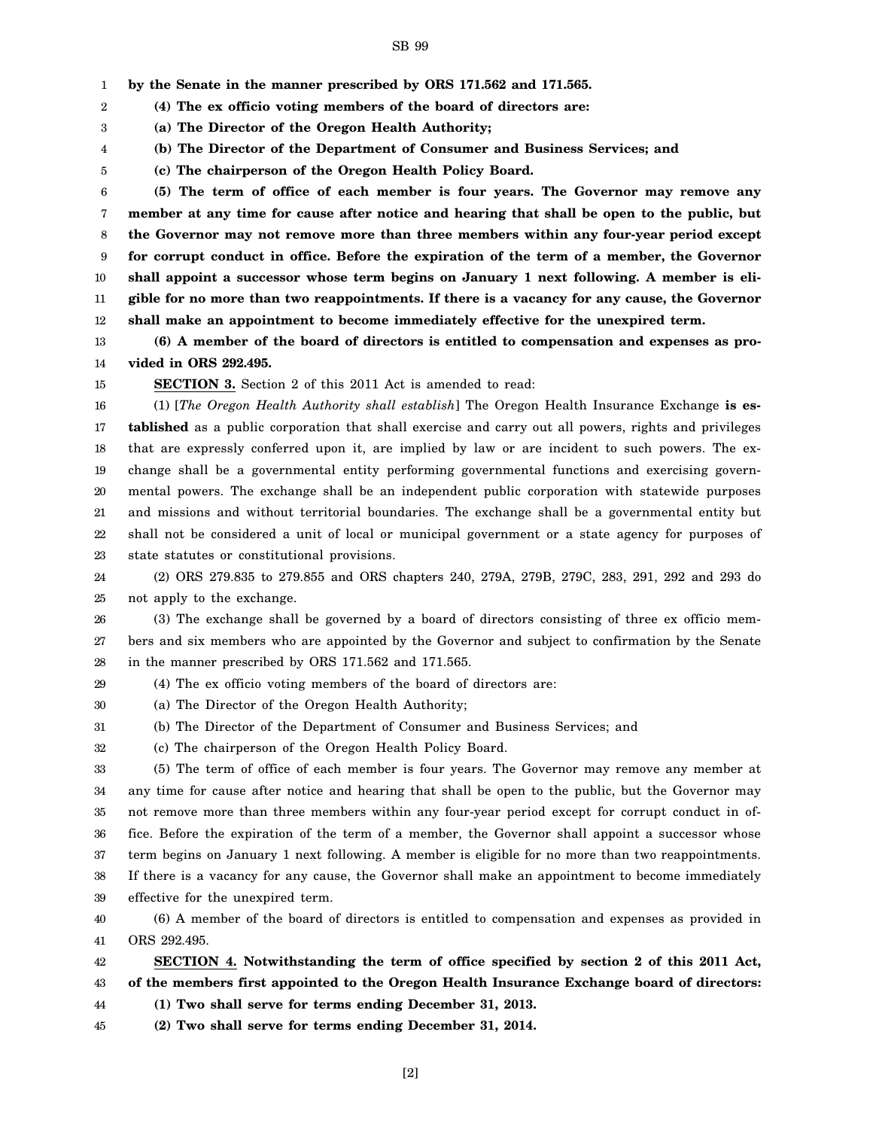1 **by the Senate in the manner prescribed by ORS 171.562 and 171.565.**

2 **(4) The ex officio voting members of the board of directors are:**

3 **(a) The Director of the Oregon Health Authority;**

4 **(b) The Director of the Department of Consumer and Business Services; and**

5 **(c) The chairperson of the Oregon Health Policy Board.**

6 7 8 9 10 11 12 **(5) The term of office of each member is four years. The Governor may remove any member at any time for cause after notice and hearing that shall be open to the public, but the Governor may not remove more than three members within any four-year period except for corrupt conduct in office. Before the expiration of the term of a member, the Governor shall appoint a successor whose term begins on January 1 next following. A member is eligible for no more than two reappointments. If there is a vacancy for any cause, the Governor shall make an appointment to become immediately effective for the unexpired term.**

13 14 **(6) A member of the board of directors is entitled to compensation and expenses as provided in ORS 292.495.**

15

**SECTION 3.** Section 2 of this 2011 Act is amended to read:

16 17 18 19 20 21 22 23 (1) [*The Oregon Health Authority shall establish*] The Oregon Health Insurance Exchange **is established** as a public corporation that shall exercise and carry out all powers, rights and privileges that are expressly conferred upon it, are implied by law or are incident to such powers. The exchange shall be a governmental entity performing governmental functions and exercising governmental powers. The exchange shall be an independent public corporation with statewide purposes and missions and without territorial boundaries. The exchange shall be a governmental entity but shall not be considered a unit of local or municipal government or a state agency for purposes of state statutes or constitutional provisions.

24 25 (2) ORS 279.835 to 279.855 and ORS chapters 240, 279A, 279B, 279C, 283, 291, 292 and 293 do not apply to the exchange.

26 27 28 (3) The exchange shall be governed by a board of directors consisting of three ex officio members and six members who are appointed by the Governor and subject to confirmation by the Senate in the manner prescribed by ORS 171.562 and 171.565.

29 (4) The ex officio voting members of the board of directors are:

30 (a) The Director of the Oregon Health Authority;

31 (b) The Director of the Department of Consumer and Business Services; and

32 (c) The chairperson of the Oregon Health Policy Board.

33 34 35 36 37 38 39 (5) The term of office of each member is four years. The Governor may remove any member at any time for cause after notice and hearing that shall be open to the public, but the Governor may not remove more than three members within any four-year period except for corrupt conduct in office. Before the expiration of the term of a member, the Governor shall appoint a successor whose term begins on January 1 next following. A member is eligible for no more than two reappointments. If there is a vacancy for any cause, the Governor shall make an appointment to become immediately effective for the unexpired term.

40 41 (6) A member of the board of directors is entitled to compensation and expenses as provided in ORS 292.495.

42 43 **SECTION 4. Notwithstanding the term of office specified by section 2 of this 2011 Act, of the members first appointed to the Oregon Health Insurance Exchange board of directors:**

44 **(1) Two shall serve for terms ending December 31, 2013.**

45 **(2) Two shall serve for terms ending December 31, 2014.**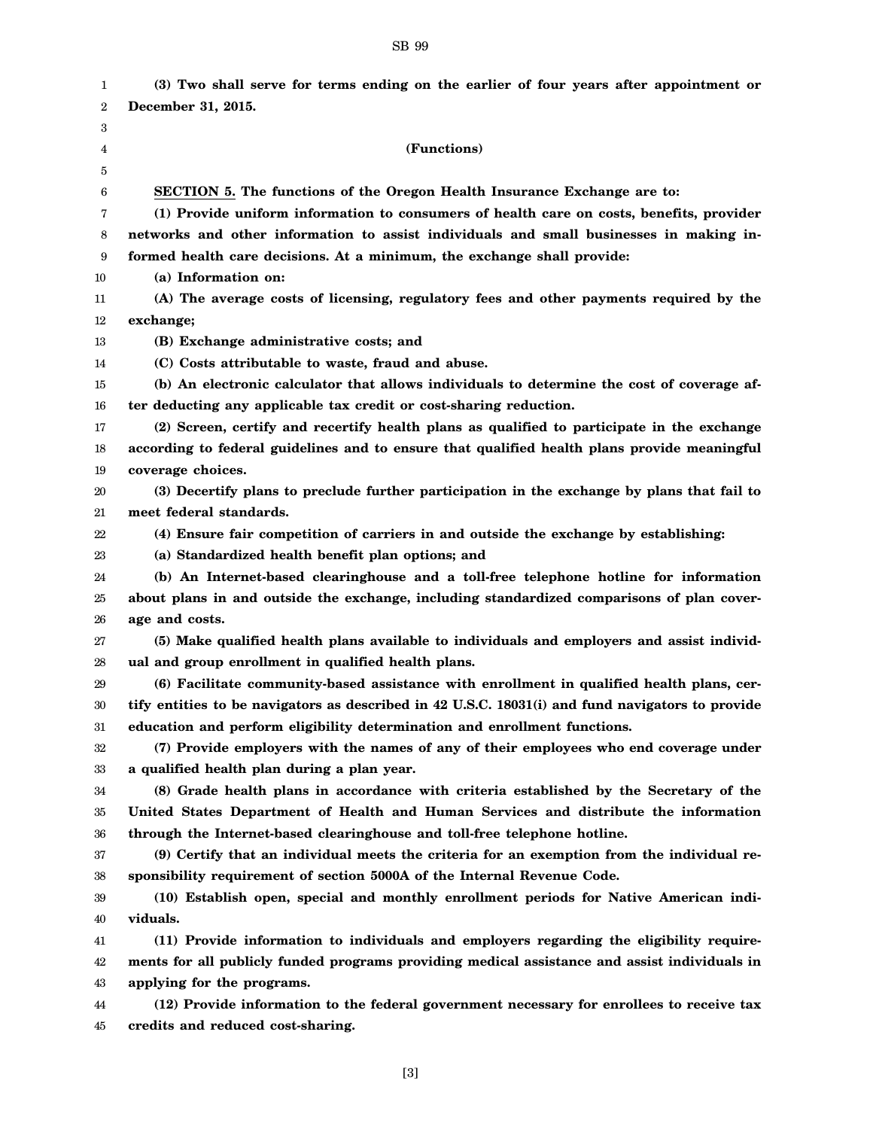#### 1 2 3 4 5 6 7 8 9 10 11 12 13 14 15 16 17 18 19 20 21 22 23 24 25 26 27 28 29 30 31 32 33 34 35 36 37 38 39 40 41 42 43 44 45 **(3) Two shall serve for terms ending on the earlier of four years after appointment or December 31, 2015. (Functions) SECTION 5. The functions of the Oregon Health Insurance Exchange are to: (1) Provide uniform information to consumers of health care on costs, benefits, provider networks and other information to assist individuals and small businesses in making informed health care decisions. At a minimum, the exchange shall provide: (a) Information on: (A) The average costs of licensing, regulatory fees and other payments required by the exchange; (B) Exchange administrative costs; and (C) Costs attributable to waste, fraud and abuse. (b) An electronic calculator that allows individuals to determine the cost of coverage after deducting any applicable tax credit or cost-sharing reduction. (2) Screen, certify and recertify health plans as qualified to participate in the exchange according to federal guidelines and to ensure that qualified health plans provide meaningful coverage choices. (3) Decertify plans to preclude further participation in the exchange by plans that fail to meet federal standards. (4) Ensure fair competition of carriers in and outside the exchange by establishing: (a) Standardized health benefit plan options; and (b) An Internet-based clearinghouse and a toll-free telephone hotline for information about plans in and outside the exchange, including standardized comparisons of plan coverage and costs. (5) Make qualified health plans available to individuals and employers and assist individual and group enrollment in qualified health plans. (6) Facilitate community-based assistance with enrollment in qualified health plans, certify entities to be navigators as described in 42 U.S.C. 18031(i) and fund navigators to provide education and perform eligibility determination and enrollment functions. (7) Provide employers with the names of any of their employees who end coverage under a qualified health plan during a plan year. (8) Grade health plans in accordance with criteria established by the Secretary of the United States Department of Health and Human Services and distribute the information through the Internet-based clearinghouse and toll-free telephone hotline. (9) Certify that an individual meets the criteria for an exemption from the individual responsibility requirement of section 5000A of the Internal Revenue Code. (10) Establish open, special and monthly enrollment periods for Native American individuals. (11) Provide information to individuals and employers regarding the eligibility requirements for all publicly funded programs providing medical assistance and assist individuals in applying for the programs. (12) Provide information to the federal government necessary for enrollees to receive tax credits and reduced cost-sharing.**

#### SB 99

[3]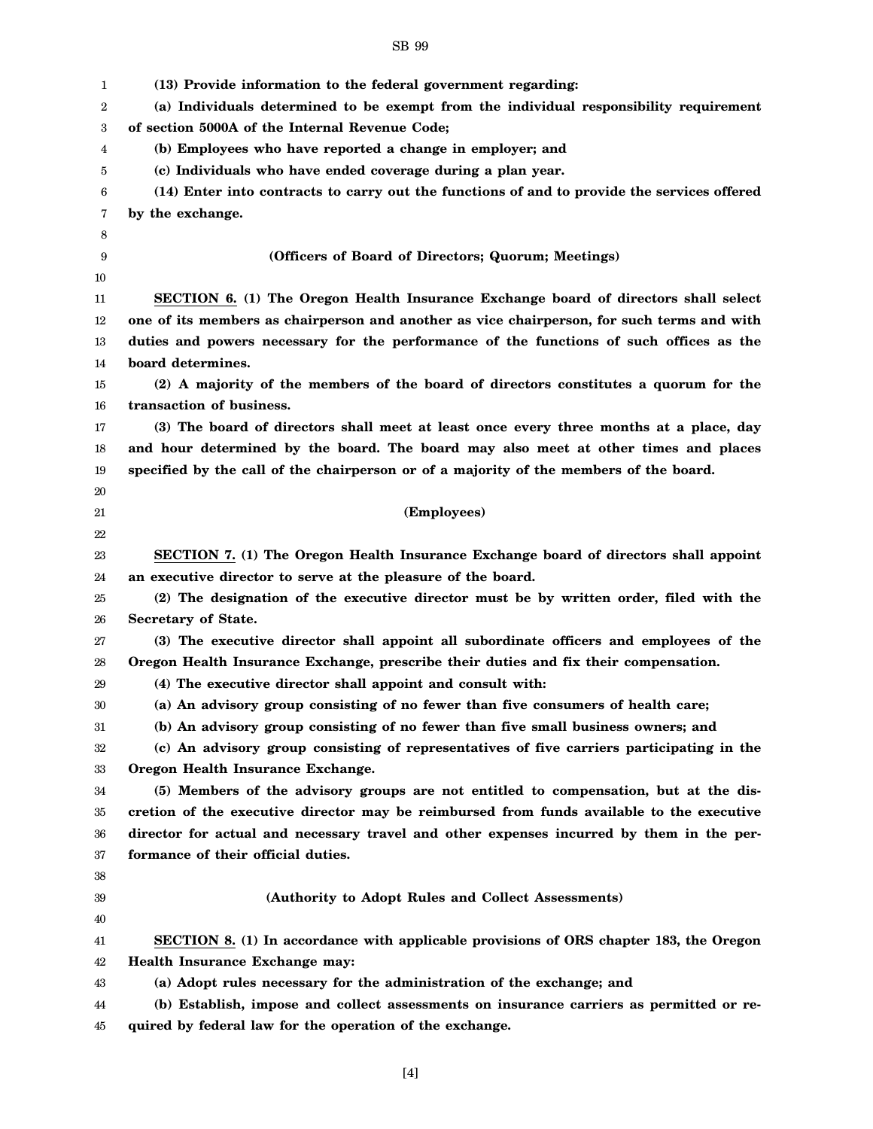| 1  | (13) Provide information to the federal government regarding:                               |
|----|---------------------------------------------------------------------------------------------|
| 2  | (a) Individuals determined to be exempt from the individual responsibility requirement      |
| 3  | of section 5000A of the Internal Revenue Code;                                              |
| 4  | (b) Employees who have reported a change in employer; and                                   |
| 5  | (c) Individuals who have ended coverage during a plan year.                                 |
| 6  | (14) Enter into contracts to carry out the functions of and to provide the services offered |
| 7  | by the exchange.                                                                            |
| 8  |                                                                                             |
| 9  | (Officers of Board of Directors; Quorum; Meetings)                                          |
| 10 |                                                                                             |
| 11 | SECTION 6. (1) The Oregon Health Insurance Exchange board of directors shall select         |
| 12 | one of its members as chairperson and another as vice chairperson, for such terms and with  |
| 13 | duties and powers necessary for the performance of the functions of such offices as the     |
| 14 | board determines.                                                                           |
| 15 | (2) A majority of the members of the board of directors constitutes a quorum for the        |
| 16 | transaction of business.                                                                    |
| 17 | (3) The board of directors shall meet at least once every three months at a place, day      |
| 18 | and hour determined by the board. The board may also meet at other times and places         |
| 19 | specified by the call of the chairperson or of a majority of the members of the board.      |
| 20 |                                                                                             |
| 21 | (Employees)                                                                                 |
| 22 |                                                                                             |
| 23 | SECTION 7. (1) The Oregon Health Insurance Exchange board of directors shall appoint        |
| 24 | an executive director to serve at the pleasure of the board.                                |
| 25 | (2) The designation of the executive director must be by written order, filed with the      |
| 26 | <b>Secretary of State.</b>                                                                  |
| 27 | (3) The executive director shall appoint all subordinate officers and employees of the      |
| 28 | Oregon Health Insurance Exchange, prescribe their duties and fix their compensation.        |
| 29 | (4) The executive director shall appoint and consult with:                                  |
| 30 | (a) An advisory group consisting of no fewer than five consumers of health care;            |
| 31 | (b) An advisory group consisting of no fewer than five small business owners; and           |
| 32 | (c) An advisory group consisting of representatives of five carriers participating in the   |
| 33 | Oregon Health Insurance Exchange.                                                           |
| 34 | (5) Members of the advisory groups are not entitled to compensation, but at the dis-        |
| 35 | cretion of the executive director may be reimbursed from funds available to the executive   |
| 36 | director for actual and necessary travel and other expenses incurred by them in the per-    |
| 37 | formance of their official duties.                                                          |
| 38 |                                                                                             |
| 39 | (Authority to Adopt Rules and Collect Assessments)                                          |
| 40 |                                                                                             |
| 41 | SECTION 8. (1) In accordance with applicable provisions of ORS chapter 183, the Oregon      |
| 42 | Health Insurance Exchange may:                                                              |
| 43 | (a) Adopt rules necessary for the administration of the exchange; and                       |
| 44 | (b) Establish, impose and collect assessments on insurance carriers as permitted or re-     |
| 45 | quired by federal law for the operation of the exchange.                                    |

[4]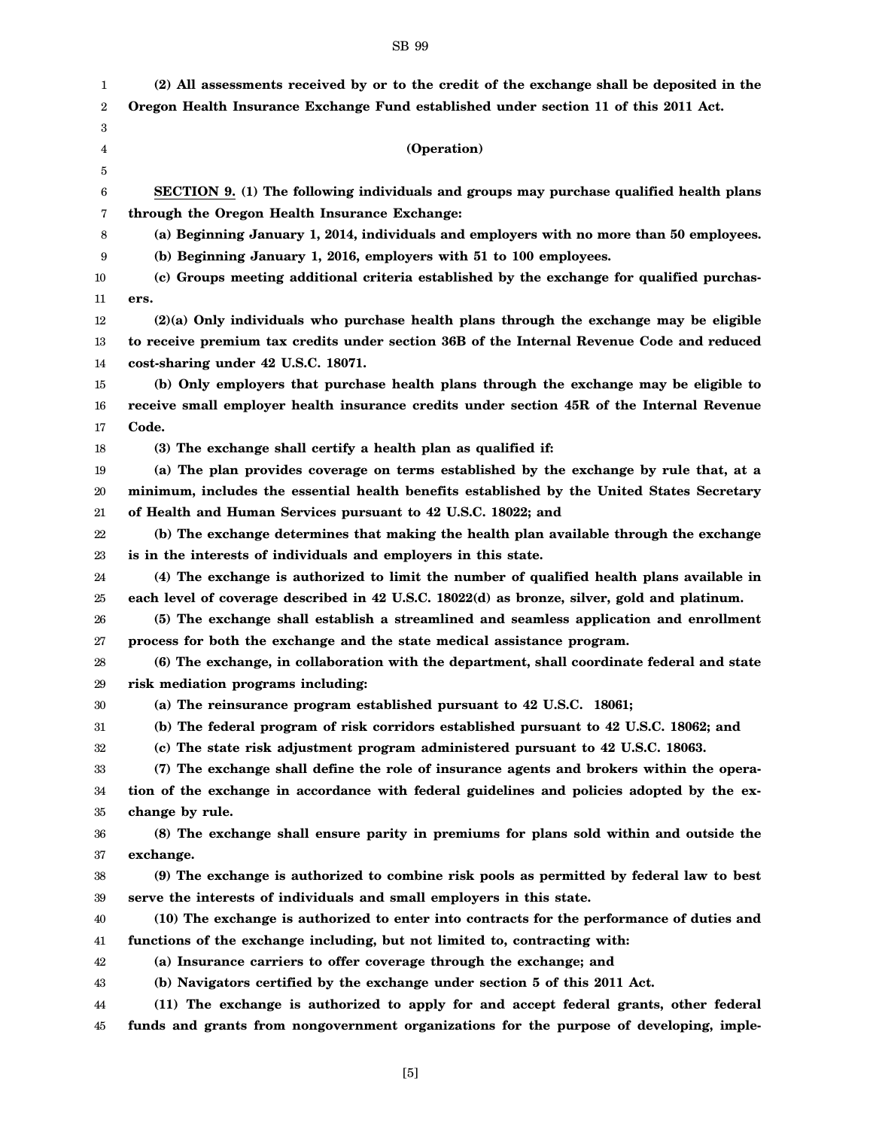| 1  | (2) All assessments received by or to the credit of the exchange shall be deposited in the   |
|----|----------------------------------------------------------------------------------------------|
| 2  | Oregon Health Insurance Exchange Fund established under section 11 of this 2011 Act.         |
| 3  |                                                                                              |
| 4  | (Operation)                                                                                  |
| 5  |                                                                                              |
| 6  | SECTION 9. (1) The following individuals and groups may purchase qualified health plans      |
| 7  | through the Oregon Health Insurance Exchange:                                                |
| 8  | (a) Beginning January 1, 2014, individuals and employers with no more than 50 employees.     |
| 9  | (b) Beginning January 1, 2016, employers with 51 to 100 employees.                           |
| 10 | (c) Groups meeting additional criteria established by the exchange for qualified purchas-    |
| 11 | ers.                                                                                         |
| 12 | $(2)(a)$ Only individuals who purchase health plans through the exchange may be eligible     |
| 13 | to receive premium tax credits under section 36B of the Internal Revenue Code and reduced    |
| 14 | cost-sharing under 42 U.S.C. 18071.                                                          |
| 15 | (b) Only employers that purchase health plans through the exchange may be eligible to        |
| 16 | receive small employer health insurance credits under section 45R of the Internal Revenue    |
| 17 | Code.                                                                                        |
| 18 | (3) The exchange shall certify a health plan as qualified if:                                |
| 19 | (a) The plan provides coverage on terms established by the exchange by rule that, at a       |
| 20 | minimum, includes the essential health benefits established by the United States Secretary   |
| 21 | of Health and Human Services pursuant to 42 U.S.C. 18022; and                                |
| 22 | (b) The exchange determines that making the health plan available through the exchange       |
| 23 | is in the interests of individuals and employers in this state.                              |
| 24 | (4) The exchange is authorized to limit the number of qualified health plans available in    |
| 25 | each level of coverage described in 42 U.S.C. 18022(d) as bronze, silver, gold and platinum. |
| 26 | (5) The exchange shall establish a streamlined and seamless application and enrollment       |
| 27 | process for both the exchange and the state medical assistance program.                      |
| 28 | (6) The exchange, in collaboration with the department, shall coordinate federal and state   |
| 29 | risk mediation programs including:                                                           |
| 30 | (a) The reinsurance program established pursuant to 42 U.S.C. 18061;                         |
| 31 | (b) The federal program of risk corridors established pursuant to 42 U.S.C. 18062; and       |
| 32 | (c) The state risk adjustment program administered pursuant to 42 U.S.C. 18063.              |
| 33 | (7) The exchange shall define the role of insurance agents and brokers within the opera-     |
| 34 | tion of the exchange in accordance with federal guidelines and policies adopted by the ex-   |
| 35 | change by rule.                                                                              |
| 36 | (8) The exchange shall ensure parity in premiums for plans sold within and outside the       |
| 37 | exchange.                                                                                    |
| 38 | (9) The exchange is authorized to combine risk pools as permitted by federal law to best     |

39 40 **serve the interests of individuals and small employers in this state. (10) The exchange is authorized to enter into contracts for the performance of duties and**

41 **functions of the exchange including, but not limited to, contracting with:**

42 **(a) Insurance carriers to offer coverage through the exchange; and**

43 **(b) Navigators certified by the exchange under section 5 of this 2011 Act.**

44 45 **(11) The exchange is authorized to apply for and accept federal grants, other federal funds and grants from nongovernment organizations for the purpose of developing, imple-**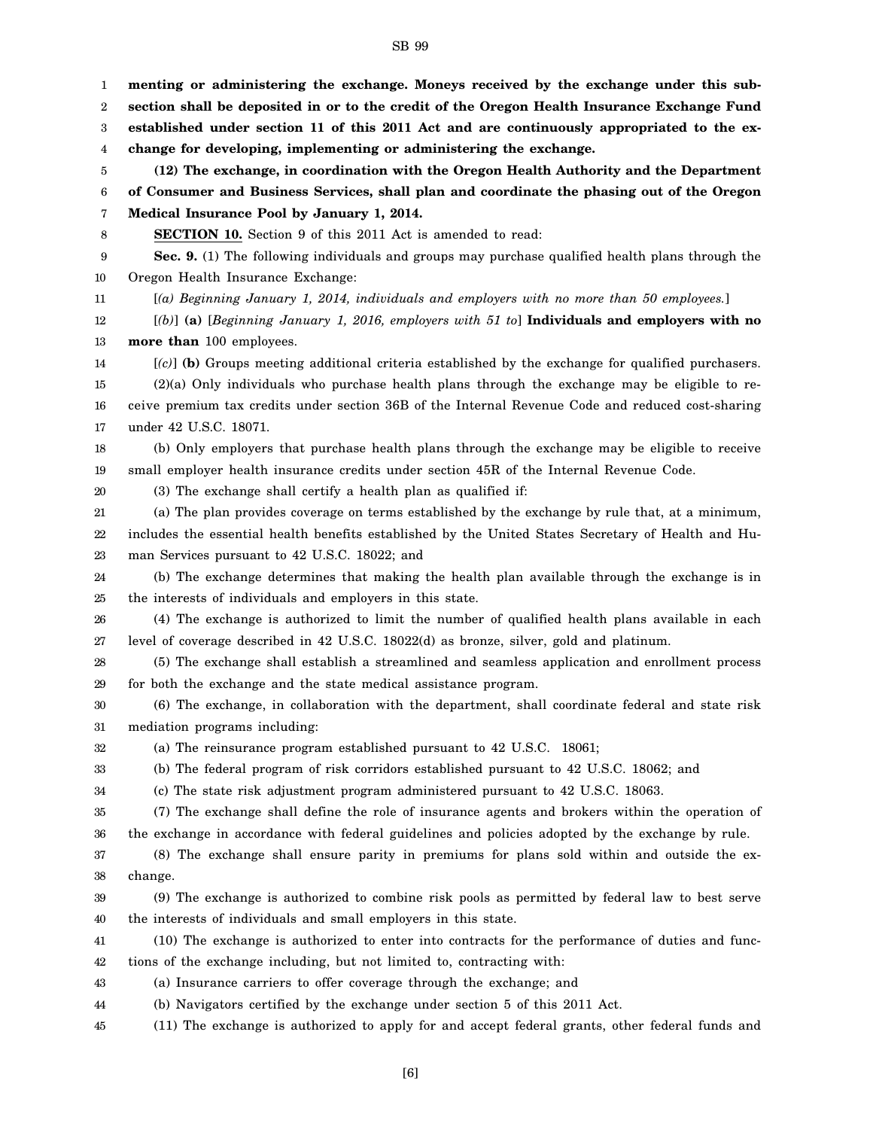1 2 3 4 5 6 7 8 9 10 11 12 13 14 15 16 17 18 19 20 21 22 23 24 25 26 27 28 29 30 31 32 33 34 35 36 **menting or administering the exchange. Moneys received by the exchange under this subsection shall be deposited in or to the credit of the Oregon Health Insurance Exchange Fund established under section 11 of this 2011 Act and are continuously appropriated to the exchange for developing, implementing or administering the exchange. (12) The exchange, in coordination with the Oregon Health Authority and the Department of Consumer and Business Services, shall plan and coordinate the phasing out of the Oregon Medical Insurance Pool by January 1, 2014. SECTION 10.** Section 9 of this 2011 Act is amended to read: **Sec. 9.** (1) The following individuals and groups may purchase qualified health plans through the Oregon Health Insurance Exchange: [*(a) Beginning January 1, 2014, individuals and employers with no more than 50 employees.*] [*(b)*] **(a)** [*Beginning January 1, 2016, employers with 51 to*] **Individuals and employers with no more than** 100 employees. [*(c)*] **(b)** Groups meeting additional criteria established by the exchange for qualified purchasers. (2)(a) Only individuals who purchase health plans through the exchange may be eligible to receive premium tax credits under section 36B of the Internal Revenue Code and reduced cost-sharing under 42 U.S.C. 18071. (b) Only employers that purchase health plans through the exchange may be eligible to receive small employer health insurance credits under section 45R of the Internal Revenue Code. (3) The exchange shall certify a health plan as qualified if: (a) The plan provides coverage on terms established by the exchange by rule that, at a minimum, includes the essential health benefits established by the United States Secretary of Health and Human Services pursuant to 42 U.S.C. 18022; and (b) The exchange determines that making the health plan available through the exchange is in the interests of individuals and employers in this state. (4) The exchange is authorized to limit the number of qualified health plans available in each level of coverage described in 42 U.S.C. 18022(d) as bronze, silver, gold and platinum. (5) The exchange shall establish a streamlined and seamless application and enrollment process for both the exchange and the state medical assistance program. (6) The exchange, in collaboration with the department, shall coordinate federal and state risk mediation programs including: (a) The reinsurance program established pursuant to 42 U.S.C. 18061; (b) The federal program of risk corridors established pursuant to 42 U.S.C. 18062; and (c) The state risk adjustment program administered pursuant to 42 U.S.C. 18063. (7) The exchange shall define the role of insurance agents and brokers within the operation of the exchange in accordance with federal guidelines and policies adopted by the exchange by rule.

37 38 (8) The exchange shall ensure parity in premiums for plans sold within and outside the exchange.

39 40 (9) The exchange is authorized to combine risk pools as permitted by federal law to best serve the interests of individuals and small employers in this state.

41 42 (10) The exchange is authorized to enter into contracts for the performance of duties and functions of the exchange including, but not limited to, contracting with:

43 (a) Insurance carriers to offer coverage through the exchange; and

44 (b) Navigators certified by the exchange under section 5 of this 2011 Act.

45 (11) The exchange is authorized to apply for and accept federal grants, other federal funds and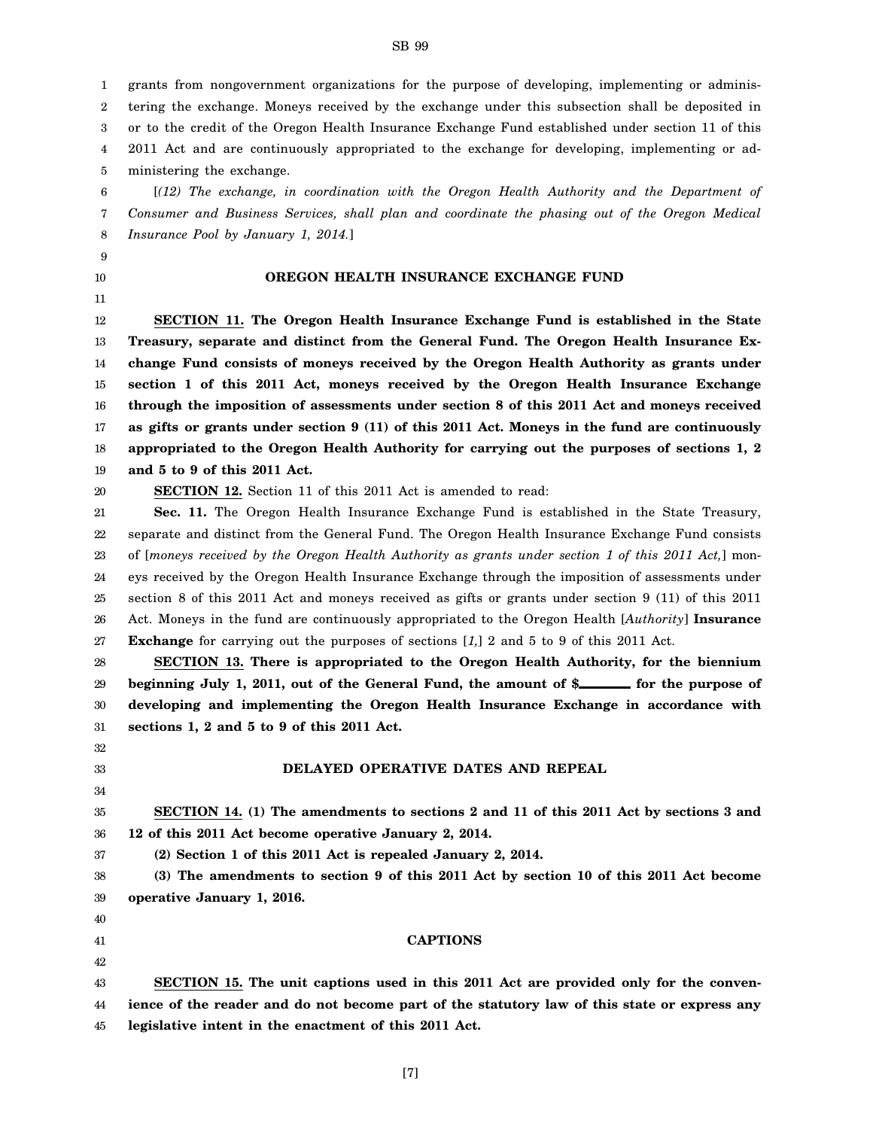1 2 3 4 5 grants from nongovernment organizations for the purpose of developing, implementing or administering the exchange. Moneys received by the exchange under this subsection shall be deposited in or to the credit of the Oregon Health Insurance Exchange Fund established under section 11 of this 2011 Act and are continuously appropriated to the exchange for developing, implementing or administering the exchange.

6 7 8 [*(12) The exchange, in coordination with the Oregon Health Authority and the Department of Consumer and Business Services, shall plan and coordinate the phasing out of the Oregon Medical Insurance Pool by January 1, 2014.*]

#### **OREGON HEALTH INSURANCE EXCHANGE FUND**

12 13 14 15 16 17 18 19 **SECTION 11. The Oregon Health Insurance Exchange Fund is established in the State Treasury, separate and distinct from the General Fund. The Oregon Health Insurance Exchange Fund consists of moneys received by the Oregon Health Authority as grants under section 1 of this 2011 Act, moneys received by the Oregon Health Insurance Exchange through the imposition of assessments under section 8 of this 2011 Act and moneys received as gifts or grants under section 9 (11) of this 2011 Act. Moneys in the fund are continuously appropriated to the Oregon Health Authority for carrying out the purposes of sections 1, 2 and 5 to 9 of this 2011 Act.**

20 **SECTION 12.** Section 11 of this 2011 Act is amended to read:

9 10 11

32 33 34

37

21 22 23 24 25 26 27 **Sec. 11.** The Oregon Health Insurance Exchange Fund is established in the State Treasury, separate and distinct from the General Fund. The Oregon Health Insurance Exchange Fund consists of [*moneys received by the Oregon Health Authority as grants under section 1 of this 2011 Act,*] moneys received by the Oregon Health Insurance Exchange through the imposition of assessments under section 8 of this 2011 Act and moneys received as gifts or grants under section 9 (11) of this 2011 Act. Moneys in the fund are continuously appropriated to the Oregon Health [*Authority*] **Insurance Exchange** for carrying out the purposes of sections [*1,*] 2 and 5 to 9 of this 2011 Act.

28 29 30 31 **SECTION 13. There is appropriated to the Oregon Health Authority, for the biennium** beginning July 1, 2011, out of the General Fund, the amount of \$**following** for the purpose of **developing and implementing the Oregon Health Insurance Exchange in accordance with sections 1, 2 and 5 to 9 of this 2011 Act.**

### **DELAYED OPERATIVE DATES AND REPEAL**

#### 35 36 **SECTION 14. (1) The amendments to sections 2 and 11 of this 2011 Act by sections 3 and 12 of this 2011 Act become operative January 2, 2014.**

**(2) Section 1 of this 2011 Act is repealed January 2, 2014.**

38 39 **(3) The amendments to section 9 of this 2011 Act by section 10 of this 2011 Act become operative January 1, 2016.**

40

41 42 43 44 45 **CAPTIONS SECTION 15. The unit captions used in this 2011 Act are provided only for the convenience of the reader and do not become part of the statutory law of this state or express any legislative intent in the enactment of this 2011 Act.**